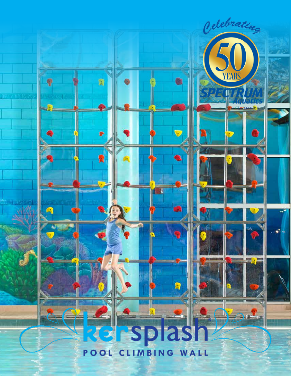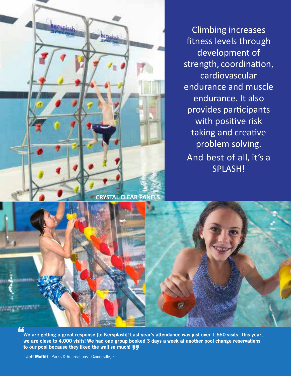

Climbing increases fitness levels through development of strength, coordination, cardiovascular endurance and muscle endurance. It also provides participants with positive risk taking and creative problem solving. And best of all, it's a SPLASH!



**We are getting a great response [to Kersplash]! Last year's attendance was just over 1,550 visits. This year, we are close to 4,000 visits! We had one group booked 3 days a week at another pool change reservations to our pool because they liked the wall so much!** <sup>\_ast</sup><br><mark>77</mark>

**- Jeff Moffitt** | Parks & Recreations - Gainesville, FL

"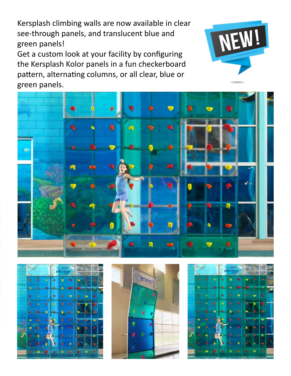Kersplash climbing walls are now available in clear see-through panels, and translucent blue and green panels!

Get a custom look at your facility by configuring the Kersplash Kolor panels in a fun checkerboard pattern, alternating columns, or all clear, blue or green panels.









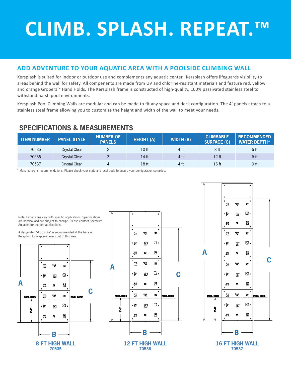## **CLIMB. SPLASH. REPEAT.™**

## **ADD ADVENTURE TO YOUR AQUATIC AREA WITH A POOLSIDE CLIMBING WALL**

Kersplash is suited for indoor or outdoor use and complements any aquatic center. Kersplash offers lifeguards visibility to areas behind the wall for safety. All compenents are made from UV and chlorine-resistant materials and feature red, yellow and orange Groperz™ Hand Holds. The Kersplash frame is constructed of high-quality, 100% passivated stainless steel to withstand harsh pool environments.

Kersplash Pool Climbing Walls are modular and can be made to fit any space and deck configuration. The 4' panels attach to a stainless steel frame allowing you to customize the height and width of the wall to meet your needs.

## **SPECIFICATIONS & MEASUREMENTS**

| <b>ITEM NUMBER</b> | <b>PANEL STYLE</b>   | <b>NUMBER OF</b><br><b>PANELS</b> | <b>HEIGHT (A)</b> | <b>WIDTH (B)</b> | <b>CLIMBABLE</b><br><b>SURFACE (C)</b> | <b>RECOMMENDED</b><br><b>WATER DEPTH*</b> |
|--------------------|----------------------|-----------------------------------|-------------------|------------------|----------------------------------------|-------------------------------------------|
| 70535              | Crystal Clear        |                                   | 10 <sub>ft</sub>  | 4 ft             | 8 <sub>ft</sub>                        | 5 <sub>ft</sub>                           |
| 70536              | <b>Crystal Clear</b> |                                   | 14 ft             | 4 ft             | 12 ft                                  | 6 ft                                      |
| 70537              | <b>Crystal Clear</b> | 4                                 | 18 ft             | 4 ft             | 16 ft                                  | 9 ft                                      |

\* Manufacturer's recommendations. Please check your state and local code to ensure your configuration complies.